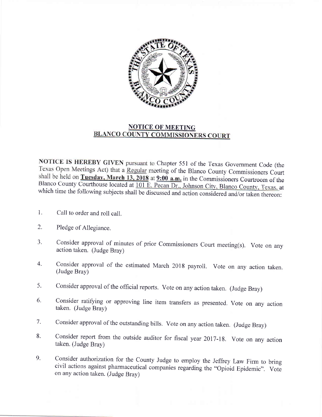

## NOTICE OF MEETING<br>BLANCO COUNTY COMMISSIONERS COURT

NOTICE IS HEREBY GIVEN pursuant to Chapter 551 of the Texas Government Code (the Texas Open Meetings Act) that a Regular meeting of the Blanco County Commissioners Court shall be held on Tuesday, March 13, 2018 at  $9:00$  a.m. in the Commissioners Courtroom of the Blanco County Courthouse located at  $101$  E. Pecan Dr., Johnson City, Blanco County, Texas, at which time the following subjects shall be discussed and action considered and/or taken thereon:

- 1. Call to order and roll call.
- 2. Pledge of Allegiance.
- 3. Consider approval of minutes of prior Commissioners Court meeting(s). Vote on any action taken. (Judge Bray)
- $4.$ Consider approval of the estimated March 2018 payroll. Vote on any action taken. (Judge Bray)
- consider approval of the official reports. vote on any action taken. (Judge Bray) 5.
- Consider ratifying or approving line item transfers as presented. Vote on any action taken. (Judge Bray) 6.
- 7. Consider approval of the outstanding bills. Vote on any action taken. (Judge Bray)
- 8. Consider report from the outside auditor for fiscal year 2017-18. Vote on any action taken. (Judge Bray)
- 9. Consider authorization for the County Judge to employ the Jeffrey Law Firm to bring civil actions against pharmaceutical companies regarding the "Opioid Epidemic". Vote on any action taken. (Judge Bray)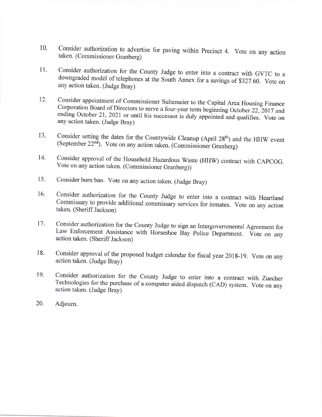- t0. Consider authorization to advertise for paving within Precinct 4. Vote on any action<br>taken. (Commissioner Granberg)
- 11. Consider authorization for the County Judge to enter into a contract with GVTC to <sup>a</sup> downgraded model of telephones at the South Annex for a savings of \$327.60. Vote on any action taken. (Judge Bray)
- t2. Consider appointment of Commissioner Sultemeier to the Capital Area Housing Finance<br>Corporation Board of Directors to serve a four-year term beginning October 22, 2017 and<br>ending October 21, 2021 or until his successor is any action taken. (Judge Bray)
- 13. Consider setting the dates for the Countywide Cleanup (April 28<sup>th</sup>) and the HHW event (September 22<sup>nd</sup>). Vote on any action taken. (Commissioner Granberg)
- 14. Consider approval of the Household Hazardous Waste (HHW) contract with CApCOG. Vote on any action taken. (Commissioner Granberg))
- Consider burn ban. Vote on any action taken. (Judge Bray) 15.
- Consider authorization for the County Judge to enter into a contract with Heartland Commissary to provide additional commissary services for inmates. Vote on any action taken. (Sheriff Jackson) 16.
- Consider authorization for the County Judge to sign an Intergovernmental Agreement for Law Enforcement Assistance with Horseshoe Bay Police Department. Vote on any action taken. (Sheriff Jackson) 17.
- Consider approval of the proposed budget calendar for fiscal year 2018-19. Vote on any action taken. (Judge Bray) 18.
- Consider authorization for the County Judge to enter into a contract with Zuecher Technologies for the purchase of a computer aided dispatch (CAD) system. Vote on any action taken. (Judge Bray) 19.
- Adjoum. 20.